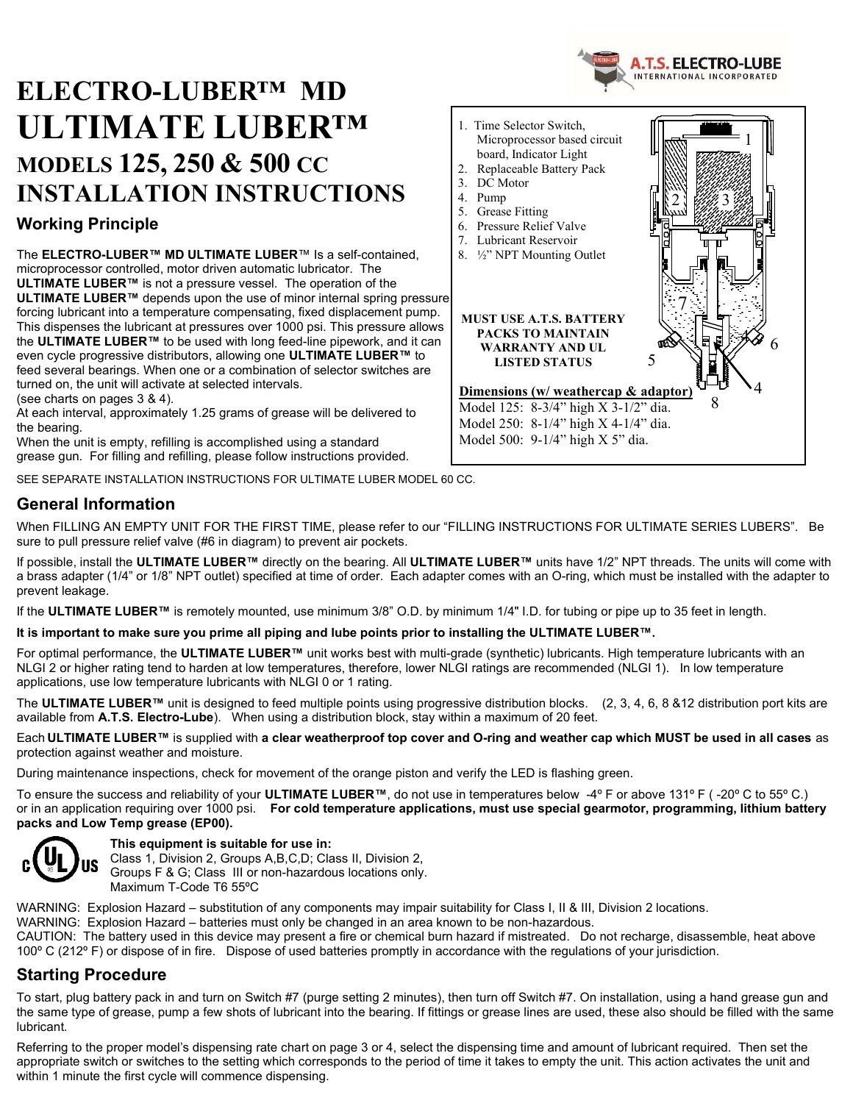

# ELECTRO-LUBER™ MD ULTIMATE LUBER™ MODELS 125, 250 & 500 CC INSTALLATION INSTRUCTIONS

### Working Principle

The ELECTRO-LUBER™ MD ULTIMATE LUBER™ Is a self-contained, microprocessor controlled, motor driven automatic lubricator. The ULTIMATE LUBER™ is not a pressure vessel. The operation of the ULTIMATE LUBER™ depends upon the use of minor internal spring pressure forcing lubricant into a temperature compensating, fixed displacement pump. This dispenses the lubricant at pressures over 1000 psi. This pressure allows the ULTIMATE LUBER™ to be used with long feed-line pipework, and it can even cycle progressive distributors, allowing one ULTIMATE LUBER™ to feed several bearings. When one or a combination of selector switches are turned on, the unit will activate at selected intervals.

(see charts on pages 3 & 4).

At each interval, approximately 1.25 grams of grease will be delivered to the bearing.

When the unit is empty, refilling is accomplished using a standard grease gun. For filling and refilling, please follow instructions provided.

SEE SEPARATE INSTALLATION INSTRUCTIONS FOR ULTIMATE LUBER MODEL 60 CC.

### General Information

When FILLING AN EMPTY UNIT FOR THE FIRST TIME, please refer to our "FILLING INSTRUCTIONS FOR ULTIMATE SERIES LUBERS". Be sure to pull pressure relief valve (#6 in diagram) to prevent air pockets.

If possible, install the ULTIMATE LUBER™ directly on the bearing. All ULTIMATE LUBER™ units have 1/2" NPT threads. The units will come with a brass adapter (1/4" or 1/8" NPT outlet) specified at time of order. Each adapter comes with an O-ring, which must be installed with the adapter to prevent leakage.

If the ULTIMATE LUBER™ is remotely mounted, use minimum 3/8" O.D. by minimum 1/4" I.D. for tubing or pipe up to 35 feet in length.

#### It is important to make sure you prime all piping and lube points prior to installing the ULTIMATE LUBER™.

For optimal performance, the ULTIMATE LUBER™ unit works best with multi-grade (synthetic) lubricants. High temperature lubricants with an NLGI 2 or higher rating tend to harden at low temperatures, therefore, lower NLGI ratings are recommended (NLGI 1). In low temperature applications, use low temperature lubricants with NLGI 0 or 1 rating.

The ULTIMATE LUBER<sup>™</sup> unit is designed to feed multiple points using progressive distribution blocks. (2, 3, 4, 6, 8 & 12 distribution port kits are available from A.T.S. Electro-Lube). When using a distribution block, stay within a maximum of 20 feet.

Each ULTIMATE LUBER™ is supplied with a clear weatherproof top cover and O-ring and weather cap which MUST be used in all cases as protection against weather and moisture.

During maintenance inspections, check for movement of the orange piston and verify the LED is flashing green.

To ensure the success and reliability of your ULTIMATE LUBER™, do not use in temperatures below -4º F or above 131º F ( -20º C to 55º C.) or in an application requiring over 1000 psi. For cold temperature applications, must use special gearmotor, programming, lithium battery packs and Low Temp grease (EP00).



#### This equipment is suitable for use in:

Class 1, Division 2, Groups A,B,C,D; Class II, Division 2, Groups F & G; Class III or non-hazardous locations only. Maximum T-Code T6 55ºC

WARNING: Explosion Hazard – substitution of any components may impair suitability for Class I, II & III, Division 2 locations.

WARNING: Explosion Hazard – batteries must only be changed in an area known to be non-hazardous.

CAUTION: The battery used in this device may present a fire or chemical burn hazard if mistreated. Do not recharge, disassemble, heat above 100° C (212° F) or dispose of in fire. Dispose of used batteries promptly in accordance with the regulations of your jurisdiction.

### Starting Procedure

To start, plug battery pack in and turn on Switch #7 (purge setting 2 minutes), then turn off Switch #7. On installation, using a hand grease gun and the same type of grease, pump a few shots of lubricant into the bearing. If fittings or grease lines are used, these also should be filled with the same lubricant.

Referring to the proper model's dispensing rate chart on page 3 or 4, select the dispensing time and amount of lubricant required. Then set the appropriate switch or switches to the setting which corresponds to the period of time it takes to empty the unit. This action activates the unit and within 1 minute the first cycle will commence dispensing.

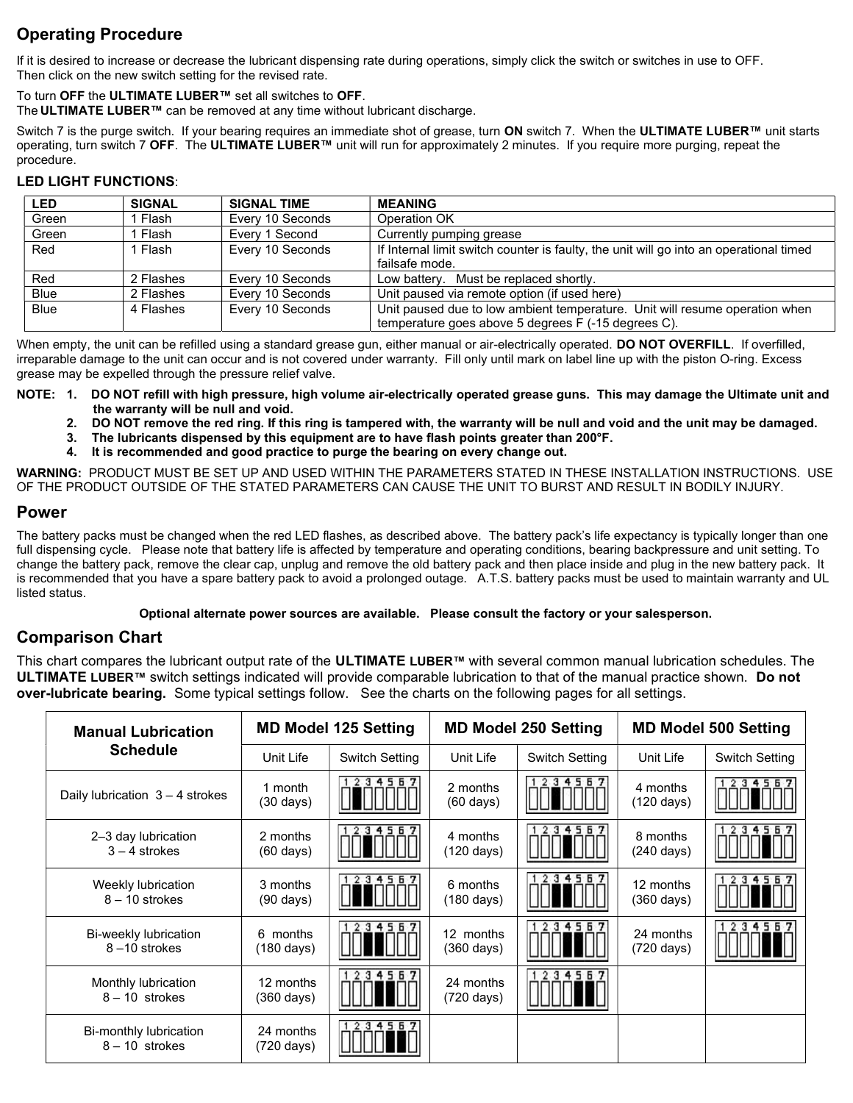### Operating Procedure

If it is desired to increase or decrease the lubricant dispensing rate during operations, simply click the switch or switches in use to OFF. Then click on the new switch setting for the revised rate.

To turn OFF the ULTIMATE LUBER™ set all switches to OFF.

The **ULTIMATE LUBER™** can be removed at any time without lubricant discharge.

Switch 7 is the purge switch. If your bearing requires an immediate shot of grease, turn ON switch 7. When the ULTIMATE LUBER™ unit starts operating, turn switch 7 OFF. The ULTIMATE LUBER™ unit will run for approximately 2 minutes. If you require more purging, repeat the procedure.

#### LED LIGHT FUNCTIONS:

| <b>LED</b>  | <b>SIGNAL</b> | <b>SIGNAL TIME</b> | <b>MEANING</b>                                                                         |
|-------------|---------------|--------------------|----------------------------------------------------------------------------------------|
| Green       | Flash         | Every 10 Seconds   | Operation OK                                                                           |
| Green       | Flash         | Every 1 Second     | Currently pumping grease                                                               |
| Red         | Flash         | Every 10 Seconds   | If Internal limit switch counter is faulty, the unit will go into an operational timed |
|             |               |                    | failsafe mode.                                                                         |
| Red         | 2 Flashes     | Every 10 Seconds   | Low battery. Must be replaced shortly.                                                 |
| <b>Blue</b> | 2 Flashes     | Every 10 Seconds   | Unit paused via remote option (if used here)                                           |
| <b>Blue</b> | 4 Flashes     | Every 10 Seconds   | Unit paused due to low ambient temperature. Unit will resume operation when            |
|             |               |                    | temperature goes above 5 degrees F (-15 degrees C).                                    |

When empty, the unit can be refilled using a standard grease gun, either manual or air-electrically operated. DO NOT OVERFILL. If overfilled, irreparable damage to the unit can occur and is not covered under warranty. Fill only until mark on label line up with the piston O-ring. Excess grease may be expelled through the pressure relief valve.

NOTE: 1. DO NOT refill with high pressure, high volume air-electrically operated grease guns. This may damage the Ultimate unit and the warranty will be null and void.

2. DO NOT remove the red ring. If this ring is tampered with, the warranty will be null and void and the unit may be damaged.

- 3. The lubricants dispensed by this equipment are to have flash points greater than 200°F.
- 4. It is recommended and good practice to purge the bearing on every change out.

WARNING: PRODUCT MUST BE SET UP AND USED WITHIN THE PARAMETERS STATED IN THESE INSTALLATION INSTRUCTIONS. USE OF THE PRODUCT OUTSIDE OF THE STATED PARAMETERS CAN CAUSE THE UNIT TO BURST AND RESULT IN BODILY INJURY.

#### Power

The battery packs must be changed when the red LED flashes, as described above. The battery pack's life expectancy is typically longer than one full dispensing cycle. Please note that battery life is affected by temperature and operating conditions, bearing backpressure and unit setting. To change the battery pack, remove the clear cap, unplug and remove the old battery pack and then place inside and plug in the new battery pack. It is recommended that you have a spare battery pack to avoid a prolonged outage. A.T.S. battery packs must be used to maintain warranty and UL listed status.

#### Optional alternate power sources are available. Please consult the factory or your salesperson.

### Comparison Chart

This chart compares the lubricant output rate of the ULTIMATE LUBER™ with several common manual lubrication schedules. The ULTIMATE LUBER™ switch settings indicated will provide comparable lubrication to that of the manual practice shown. Do not over-lubricate bearing. Some typical settings follow. See the charts on the following pages for all settings.

| <b>Manual Lubrication</b>                  |                                   | <b>MD Model 125 Setting</b> |                                   | <b>MD Model 250 Setting</b> | <b>MD Model 500 Setting</b> |                       |  |
|--------------------------------------------|-----------------------------------|-----------------------------|-----------------------------------|-----------------------------|-----------------------------|-----------------------|--|
| <b>Schedule</b>                            | Unit Life                         | <b>Switch Setting</b>       | Unit Life                         | <b>Switch Setting</b>       | Unit Life                   | <b>Switch Setting</b> |  |
| Daily lubrication $3 - 4$ strokes          | 1 month<br>$(30 \text{ days})$    | 567<br>з<br>4               | 2 months<br>$(60 \text{ days})$   | 4567<br>з                   | 4 months<br>(120 days)      |                       |  |
| 2-3 day lubrication<br>$3 - 4$ strokes     | 2 months<br>$(60 \text{ days})$   | 56                          | 4 months<br>$(120 \text{ days})$  | 4567<br>з                   | 8 months<br>(240 days)      |                       |  |
| Weekly lubrication<br>$8 - 10$ strokes     | 3 months<br>$(90 \text{ days})$   | 4567                        | 6 months<br>$(180 \text{ days})$  | 34567                       | 12 months<br>(360 days)     | 456                   |  |
| Bi-weekly lubrication<br>8-10 strokes      | months<br>6<br>(180 days)         | 23455                       | 12 months<br>$(360 \text{ days})$ | 34567                       | 24 months<br>(720 days)     | 2.3<br>456            |  |
| Monthly lubrication<br>$8 - 10$ strokes    | 12 months<br>$(360 \text{ days})$ | 234557                      | 24 months<br>(720 days)           | 234557                      |                             |                       |  |
| Bi-monthly lubrication<br>$8 - 10$ strokes | 24 months<br>(720 days)           | 234557                      |                                   |                             |                             |                       |  |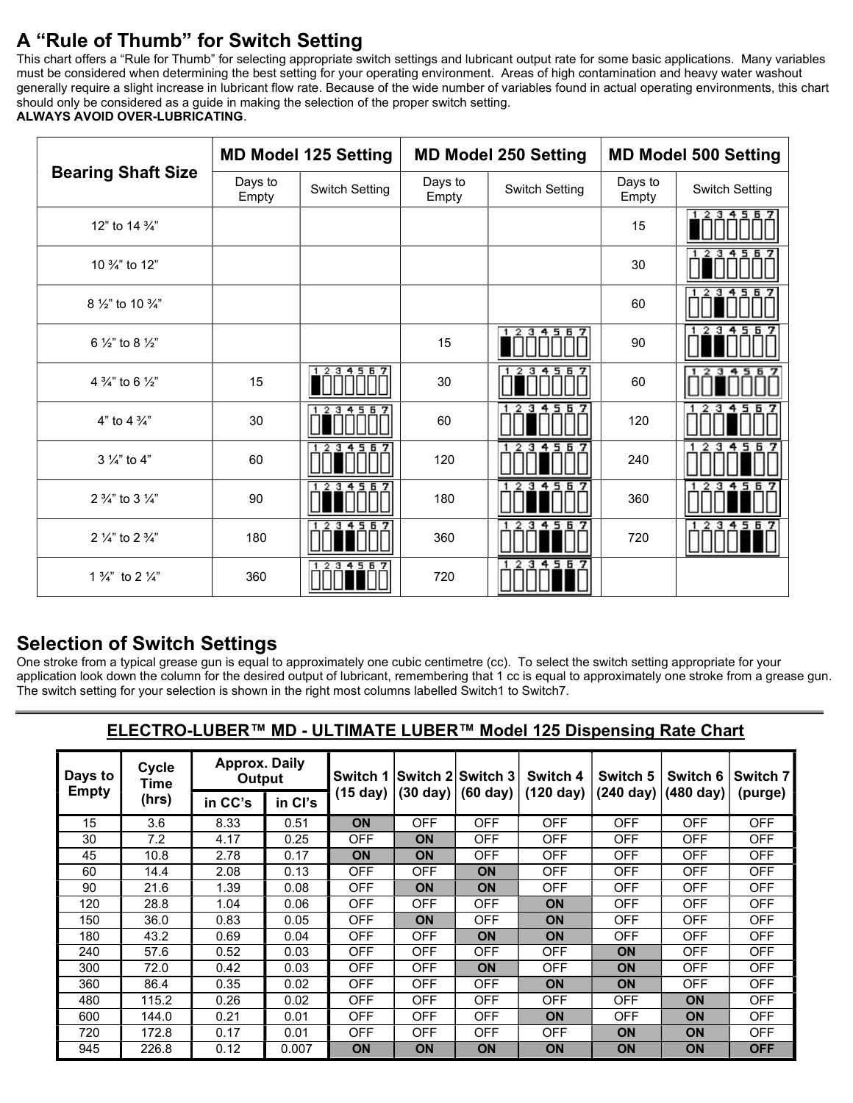## A "Rule of Thumb" for Switch Setting

This chart offers a "Rule for Thumb" for selecting appropriate switch settings and lubricant output rate for some basic applications. Many variables must be considered when determining the best setting for your operating environment. Areas of high contamination and heavy water washout generally require a slight increase in lubricant flow rate. Because of the wide number of variables found in actual operating environments, this chart should only be considered as a guide in making the selection of the proper switch setting. ALWAYS AVOID OVER-LUBRICATING.

|                                         |                  | <b>MD Model 125 Setting</b> |                  | <b>MD Model 250 Setting</b> | <b>MD Model 500 Setting</b> |                            |  |
|-----------------------------------------|------------------|-----------------------------|------------------|-----------------------------|-----------------------------|----------------------------|--|
| <b>Bearing Shaft Size</b>               | Days to<br>Empty | <b>Switch Setting</b>       | Days to<br>Empty | <b>Switch Setting</b>       | Days to<br>Empty            | <b>Switch Setting</b>      |  |
| 12" to 14 %"                            |                  |                             |                  |                             | 15                          | 12<br>34557                |  |
| 10 3/4" to 12"                          |                  |                             |                  |                             | 30                          | 2.3<br>456<br>$\mathbf{1}$ |  |
| 8 $\frac{1}{2}$ " to 10 $\frac{3}{4}$ " |                  |                             |                  |                             | 60                          | 45 E<br>з                  |  |
| 6 $\frac{1}{2}$ " to 8 $\frac{1}{2}$ "  |                  |                             | 15               | 234567<br>$\mathbf{1}$      | 90                          | з<br>Б                     |  |
| 4 $\frac{3}{4}$ " to 6 $\frac{1}{2}$ "  | 15               | 34557<br>$\mathbf{2}$       | 30               | 234567<br>-1                | 60                          |                            |  |
| 4" to 4 $\frac{3}{4}$ "                 | 30               | 1234557                     | 60               | 34<br>5 6                   | 120                         | з                          |  |
| $3\frac{1}{4}$ " to 4"                  | 60               | Б<br>з                      | 120              | 3456<br>2                   | 240                         | 5<br>з<br>6                |  |
| 2 $\frac{3}{4}$ " to 3 $\frac{1}{4}$ "  | 90               | 123456                      | 180              | 234557                      | 360                         | 4567<br>з                  |  |
| 2 $\frac{1}{4}$ " to 2 $\frac{3}{4}$ "  | 180              | 3456                        | 360              | 3456                        | 720                         | 56<br>з                    |  |
| 1 $\frac{3}{4}$ " to 2 $\frac{1}{4}$ "  | 360              | 34567                       | 720              | 3456<br>2                   |                             |                            |  |

### Selection of Switch Settings

One stroke from a typical grease gun is equal to approximately one cubic centimetre (cc). To select the switch setting appropriate for your application look down the column for the desired output of lubricant, remembering that 1 cc is equal to approximately one stroke from a grease gun. The switch setting for your selection is shown in the right most columns labelled Switch1 to Switch7.

### ELECTRO-LUBER™ MD - ULTIMATE LUBER™ Model 125 Dispensing Rate Chart

| Days to<br><b>Empty</b> | <b>Cycle</b><br>Time<br>(hrs) | <b>Approx. Daily</b><br>Output |         | Switch 1   |                | lSwitch 2lSwitch 3∶ | Switch 4            | Switch 5   | Switch 6                      | Switch 7   |
|-------------------------|-------------------------------|--------------------------------|---------|------------|----------------|---------------------|---------------------|------------|-------------------------------|------------|
|                         |                               | in CC's                        | in Cl's | $(15$ day) | $(30$ day) $ $ | $(60 \text{ day})$  | $(120 \text{ day})$ |            | $(240 \text{ day})$ (480 day) | (purge)    |
| 15                      | 3.6                           | 8.33                           | 0.51    | ON         | OFF            | <b>OFF</b>          | <b>OFF</b>          | <b>OFF</b> | <b>OFF</b>                    | <b>OFF</b> |
| 30                      | 7.2                           | 4.17                           | 0.25    | <b>OFF</b> | <b>ON</b>      | <b>OFF</b>          | OFF                 | <b>OFF</b> | <b>OFF</b>                    | <b>OFF</b> |
| 45                      | 10.8                          | 2.78                           | 0.17    | <b>ON</b>  | <b>ON</b>      | <b>OFF</b>          | <b>OFF</b>          | <b>OFF</b> | <b>OFF</b>                    | <b>OFF</b> |
| 60                      | 14.4                          | 2.08                           | 0.13    | <b>OFF</b> | OFF            | <b>ON</b>           | OFF                 | <b>OFF</b> | OFF                           | <b>OFF</b> |
| 90                      | 21.6                          | 1.39                           | 0.08    | <b>OFF</b> | <b>ON</b>      | <b>ON</b>           | <b>OFF</b>          | <b>OFF</b> | OFF                           | <b>OFF</b> |
| 120                     | 28.8                          | 1.04                           | 0.06    | <b>OFF</b> | OFF            | OFF                 | <b>ON</b>           | <b>OFF</b> | OFF                           | <b>OFF</b> |
| 150                     | 36.0                          | 0.83                           | 0.05    | <b>OFF</b> | <b>ON</b>      | <b>OFF</b>          | <b>ON</b>           | <b>OFF</b> | <b>OFF</b>                    | <b>OFF</b> |
| 180                     | 43.2                          | 0.69                           | 0.04    | <b>OFF</b> | <b>OFF</b>     | <b>ON</b>           | <b>ON</b>           | <b>OFF</b> | <b>OFF</b>                    | <b>OFF</b> |
| 240                     | 57.6                          | 0.52                           | 0.03    | <b>OFF</b> | OFF            | OFF                 | OFF                 | <b>ON</b>  | OFF                           | <b>OFF</b> |
| 300                     | 72.0                          | 0.42                           | 0.03    | <b>OFF</b> | OFF            | <b>ON</b>           | <b>OFF</b>          | <b>ON</b>  | OFF                           | <b>OFF</b> |
| 360                     | 86.4                          | 0.35                           | 0.02    | <b>OFF</b> | OFF            | OFF                 | <b>ON</b>           | <b>ON</b>  | OFF.                          | <b>OFF</b> |
| 480                     | 115.2                         | 0.26                           | 0.02    | <b>OFF</b> | <b>OFF</b>     | <b>OFF</b>          | OFF                 | <b>OFF</b> | <b>ON</b>                     | <b>OFF</b> |
| 600                     | 144.0                         | 0.21                           | 0.01    | <b>OFF</b> | <b>OFF</b>     | OFF                 | <b>ON</b>           | <b>OFF</b> | <b>ON</b>                     | <b>OFF</b> |
| 720                     | 172.8                         | 0.17                           | 0.01    | <b>OFF</b> | <b>OFF</b>     | OFF                 | <b>OFF</b>          | <b>ON</b>  | <b>ON</b>                     | <b>OFF</b> |
| 945                     | 226.8                         | 0.12                           | 0.007   | <b>ON</b>  | <b>ON</b>      | <b>ON</b>           | ON                  | ON         | <b>ON</b>                     | <b>OFF</b> |